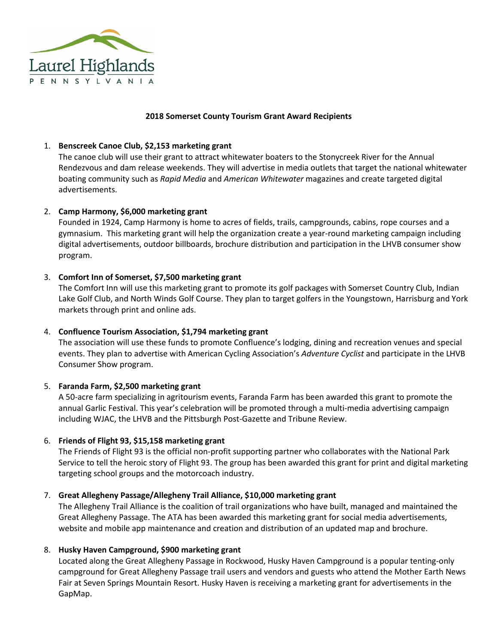

#### **2018 Somerset County Tourism Grant Award Recipients**

### 1. **Benscreek Canoe Club, \$2,153 marketing grant**

The canoe club will use their grant to attract whitewater boaters to the Stonycreek River for the Annual Rendezvous and dam release weekends. They will advertise in media outlets that target the national whitewater boating community such as *Rapid Media* and *American Whitewater* magazines and create targeted digital advertisements.

## 2. **Camp Harmony, \$6,000 marketing grant**

Founded in 1924, Camp Harmony is home to acres of fields, trails, campgrounds, cabins, rope courses and a gymnasium. This marketing grant will help the organization create a year-round marketing campaign including digital advertisements, outdoor billboards, brochure distribution and participation in the LHVB consumer show program.

## 3. **Comfort Inn of Somerset, \$7,500 marketing grant**

The Comfort Inn will use this marketing grant to promote its golf packages with Somerset Country Club, Indian Lake Golf Club, and North Winds Golf Course. They plan to target golfers in the Youngstown, Harrisburg and York markets through print and online ads.

# 4. **Confluence Tourism Association, \$1,794 marketing grant**

The association will use these funds to promote Confluence's lodging, dining and recreation venues and special events. They plan to advertise with American Cycling Association's *Adventure Cyclist* and participate in the LHVB Consumer Show program.

#### 5. **Faranda Farm, \$2,500 marketing grant**

A 50-acre farm specializing in agritourism events, Faranda Farm has been awarded this grant to promote the annual Garlic Festival. This year's celebration will be promoted through a multi-media advertising campaign including WJAC, the LHVB and the Pittsburgh Post-Gazette and Tribune Review.

#### 6. **Friends of Flight 93, \$15,158 marketing grant**

The Friends of Flight 93 is the official non-profit supporting partner who collaborates with the National Park Service to tell the heroic story of Flight 93. The group has been awarded this grant for print and digital marketing targeting school groups and the motorcoach industry.

#### 7. **Great Allegheny Passage/Allegheny Trail Alliance, \$10,000 marketing grant**

The Allegheny Trail Alliance is the coalition of trail organizations who have built, managed and maintained the Great Allegheny Passage. The ATA has been awarded this marketing grant for social media advertisements, website and mobile app maintenance and creation and distribution of an updated map and brochure.

#### 8. **Husky Haven Campground, \$900 marketing grant**

Located along the Great Allegheny Passage in Rockwood, Husky Haven Campground is a popular tenting-only campground for Great Allegheny Passage trail users and vendors and guests who attend the Mother Earth News Fair at Seven Springs Mountain Resort. Husky Haven is receiving a marketing grant for advertisements in the GapMap.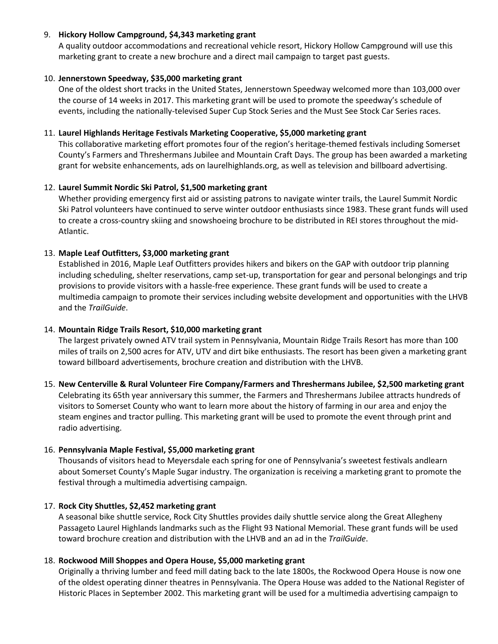## 9. **Hickory Hollow Campground, \$4,343 marketing grant**

A quality outdoor accommodations and recreational vehicle resort, Hickory Hollow Campground will use this marketing grant to create a new brochure and a direct mail campaign to target past guests.

## 10. **Jennerstown Speedway, \$35,000 marketing grant**

One of the oldest short tracks in the United States, Jennerstown Speedway welcomed more than 103,000 over the course of 14 weeks in 2017. This marketing grant will be used to promote the speedway's schedule of events, including the nationally-televised Super Cup Stock Series and the Must See Stock Car Series races.

## 11. **Laurel Highlands Heritage Festivals Marketing Cooperative, \$5,000 marketing grant**

This collaborative marketing effort promotes four of the region's heritage-themed festivals including Somerset County's Farmers and Threshermans Jubilee and Mountain Craft Days. The group has been awarded a marketing grant for website enhancements, ads on laurelhighlands.org, as well as television and billboard advertising.

## 12. **Laurel Summit Nordic Ski Patrol, \$1,500 marketing grant**

Whether providing emergency first aid or assisting patrons to navigate winter trails, the Laurel Summit Nordic Ski Patrol volunteers have continued to serve winter outdoor enthusiasts since 1983. These grant funds will used to create a cross-country skiing and snowshoeing brochure to be distributed in REI stores throughout the mid-Atlantic.

## 13. **Maple Leaf Outfitters, \$3,000 marketing grant**

Established in 2016, Maple Leaf Outfitters provides hikers and bikers on the GAP with outdoor trip planning including scheduling, shelter reservations, camp set-up, transportation for gear and personal belongings and trip provisions to provide visitors with a hassle-free experience. These grant funds will be used to create a multimedia campaign to promote their services including website development and opportunities with the LHVB and the *TrailGuide*.

#### 14. **Mountain Ridge Trails Resort, \$10,000 marketing grant**

The largest privately owned ATV trail system in Pennsylvania, Mountain Ridge Trails Resort has more than 100 miles of trails on 2,500 acres for ATV, UTV and dirt bike enthusiasts. The resort has been given a marketing grant toward billboard advertisements, brochure creation and distribution with the LHVB.

## 15. **New Centerville & Rural Volunteer Fire Company/Farmers and Threshermans Jubilee, \$2,500 marketing grant** Celebrating its 65th year anniversary this summer, the Farmers and Threshermans Jubilee attracts hundreds of visitors to Somerset County who want to learn more about the history of farming in our area and enjoy the steam engines and tractor pulling. This marketing grant will be used to promote the event through print and radio advertising.

# 16. **Pennsylvania Maple Festival, \$5,000 marketing grant**

Thousands of visitors head to Meyersdale each spring for one of Pennsylvania's sweetest festivals andlearn about Somerset County's Maple Sugar industry. The organization is receiving a marketing grant to promote the festival through a multimedia advertising campaign.

#### 17. **Rock City Shuttles, \$2,452 marketing grant**

A seasonal bike shuttle service, Rock City Shuttles provides daily shuttle service along the Great Allegheny Passageto Laurel Highlands landmarks such as the Flight 93 National Memorial. These grant funds will be used toward brochure creation and distribution with the LHVB and an ad in the *TrailGuide*.

#### 18. **Rockwood Mill Shoppes and Opera House, \$5,000 marketing grant**

Originally a thriving lumber and feed mill dating back to the late 1800s, the Rockwood Opera House is now one of the oldest operating dinner theatres in Pennsylvania. The Opera House was added to the National Register of Historic Places in September 2002. This marketing grant will be used for a multimedia advertising campaign to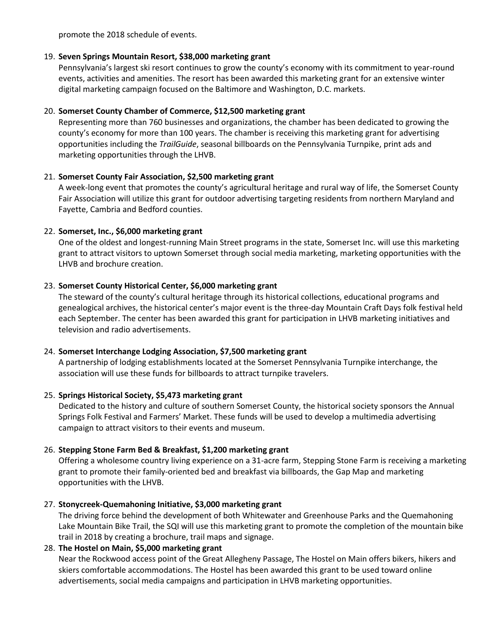promote the 2018 schedule of events.

## 19. **Seven Springs Mountain Resort, \$38,000 marketing grant**

Pennsylvania's largest ski resort continues to grow the county's economy with its commitment to year-round events, activities and amenities. The resort has been awarded this marketing grant for an extensive winter digital marketing campaign focused on the Baltimore and Washington, D.C. markets.

# 20. **Somerset County Chamber of Commerce, \$12,500 marketing grant**

Representing more than 760 businesses and organizations, the chamber has been dedicated to growing the county's economy for more than 100 years. The chamber is receiving this marketing grant for advertising opportunities including the *TrailGuide*, seasonal billboards on the Pennsylvania Turnpike, print ads and marketing opportunities through the LHVB.

## 21. **Somerset County Fair Association, \$2,500 marketing grant**

A week-long event that promotes the county's agricultural heritage and rural way of life, the Somerset County Fair Association will utilize this grant for outdoor advertising targeting residents from northern Maryland and Fayette, Cambria and Bedford counties.

## 22. **Somerset, Inc., \$6,000 marketing grant**

One of the oldest and longest-running Main Street programs in the state, Somerset Inc. will use this marketing grant to attract visitors to uptown Somerset through social media marketing, marketing opportunities with the LHVB and brochure creation.

## 23. **Somerset County Historical Center, \$6,000 marketing grant**

The steward of the county's cultural heritage through its historical collections, educational programs and genealogical archives, the historical center's major event is the three-day Mountain Craft Days folk festival held each September. The center has been awarded this grant for participation in LHVB marketing initiatives and television and radio advertisements.

# 24. **Somerset Interchange Lodging Association, \$7,500 marketing grant**

A partnership of lodging establishments located at the Somerset Pennsylvania Turnpike interchange, the association will use these funds for billboards to attract turnpike travelers.

#### 25. **Springs Historical Society, \$5,473 marketing grant**

Dedicated to the history and culture of southern Somerset County, the historical society sponsors the Annual Springs Folk Festival and Farmers' Market. These funds will be used to develop a multimedia advertising campaign to attract visitors to their events and museum.

# 26. **Stepping Stone Farm Bed & Breakfast, \$1,200 marketing grant**

Offering a wholesome country living experience on a 31-acre farm, Stepping Stone Farm is receiving a marketing grant to promote their family-oriented bed and breakfast via billboards, the Gap Map and marketing opportunities with the LHVB.

# 27. **Stonycreek-Quemahoning Initiative, \$3,000 marketing grant**

The driving force behind the development of both Whitewater and Greenhouse Parks and the Quemahoning Lake Mountain Bike Trail, the SQI will use this marketing grant to promote the completion of the mountain bike trail in 2018 by creating a brochure, trail maps and signage.

# 28. **The Hostel on Main, \$5,000 marketing grant**

Near the Rockwood access point of the Great Allegheny Passage, The Hostel on Main offers bikers, hikers and skiers comfortable accommodations. The Hostel has been awarded this grant to be used toward online advertisements, social media campaigns and participation in LHVB marketing opportunities.